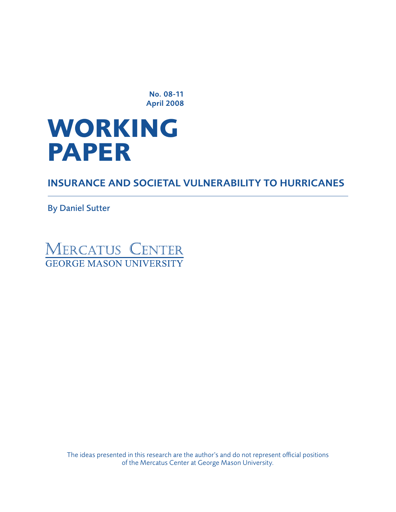No. 08-11 April 2008

# **WORKING paper**

Insurance and Societal Vulnerability to Hurricanes

By Daniel Sutter



The ideas presented in this research are the author's and do not represent official positions of the Mercatus Center at George Mason University.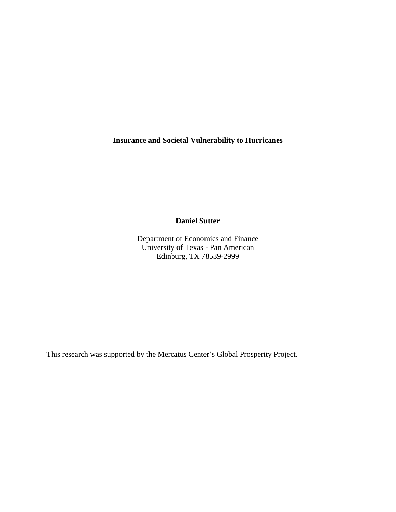**Insurance and Societal Vulnerability to Hurricanes**

**Daniel Sutter**

Department of Economics and Finance University of Texas - Pan American Edinburg, TX 78539-2999

This research was supported by the Mercatus Center's Global Prosperity Project.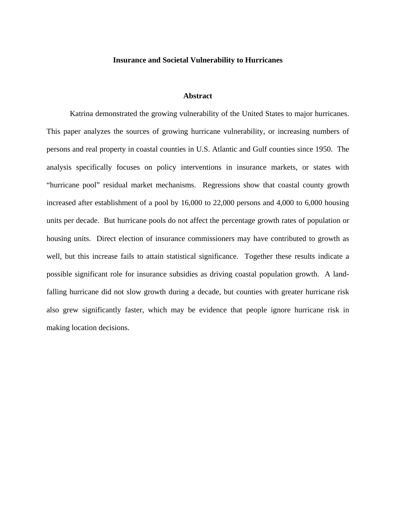#### **Insurance and Societal Vulnerability to Hurricanes**

#### **Abstract**

 Katrina demonstrated the growing vulnerability of the United States to major hurricanes. This paper analyzes the sources of growing hurricane vulnerability, or increasing numbers of persons and real property in coastal counties in U.S. Atlantic and Gulf counties since 1950. The analysis specifically focuses on policy interventions in insurance markets, or states with "hurricane pool" residual market mechanisms. Regressions show that coastal county growth increased after establishment of a pool by 16,000 to 22,000 persons and 4,000 to 6,000 housing units per decade. But hurricane pools do not affect the percentage growth rates of population or housing units. Direct election of insurance commissioners may have contributed to growth as well, but this increase fails to attain statistical significance. Together these results indicate a possible significant role for insurance subsidies as driving coastal population growth. A landfalling hurricane did not slow growth during a decade, but counties with greater hurricane risk also grew significantly faster, which may be evidence that people ignore hurricane risk in making location decisions.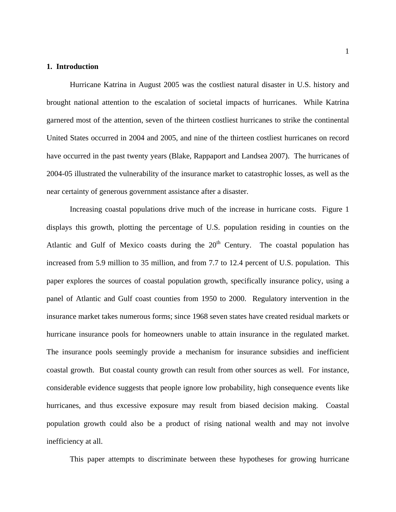#### **1. Introduction**

Hurricane Katrina in August 2005 was the costliest natural disaster in U.S. history and brought national attention to the escalation of societal impacts of hurricanes. While Katrina garnered most of the attention, seven of the thirteen costliest hurricanes to strike the continental United States occurred in 2004 and 2005, and nine of the thirteen costliest hurricanes on record have occurred in the past twenty years (Blake, Rappaport and Landsea 2007). The hurricanes of 2004-05 illustrated the vulnerability of the insurance market to catastrophic losses, as well as the near certainty of generous government assistance after a disaster.

 Increasing coastal populations drive much of the increase in hurricane costs. Figure 1 displays this growth, plotting the percentage of U.S. population residing in counties on the Atlantic and Gulf of Mexico coasts during the  $20<sup>th</sup>$  Century. The coastal population has increased from 5.9 million to 35 million, and from 7.7 to 12.4 percent of U.S. population. This paper explores the sources of coastal population growth, specifically insurance policy, using a panel of Atlantic and Gulf coast counties from 1950 to 2000. Regulatory intervention in the insurance market takes numerous forms; since 1968 seven states have created residual markets or hurricane insurance pools for homeowners unable to attain insurance in the regulated market. The insurance pools seemingly provide a mechanism for insurance subsidies and inefficient coastal growth. But coastal county growth can result from other sources as well. For instance, considerable evidence suggests that people ignore low probability, high consequence events like hurricanes, and thus excessive exposure may result from biased decision making. Coastal population growth could also be a product of rising national wealth and may not involve inefficiency at all.

This paper attempts to discriminate between these hypotheses for growing hurricane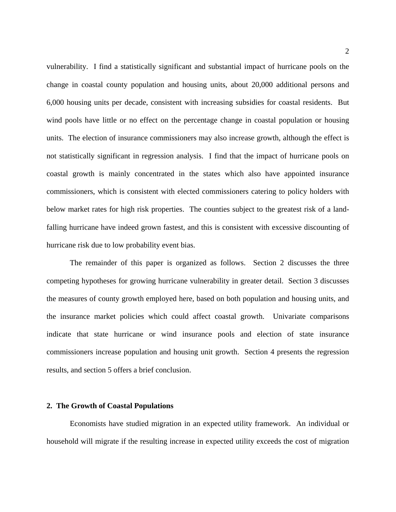vulnerability. I find a statistically significant and substantial impact of hurricane pools on the change in coastal county population and housing units, about 20,000 additional persons and 6,000 housing units per decade, consistent with increasing subsidies for coastal residents. But wind pools have little or no effect on the percentage change in coastal population or housing units. The election of insurance commissioners may also increase growth, although the effect is not statistically significant in regression analysis. I find that the impact of hurricane pools on coastal growth is mainly concentrated in the states which also have appointed insurance commissioners, which is consistent with elected commissioners catering to policy holders with below market rates for high risk properties. The counties subject to the greatest risk of a landfalling hurricane have indeed grown fastest, and this is consistent with excessive discounting of hurricane risk due to low probability event bias.

 The remainder of this paper is organized as follows. Section 2 discusses the three competing hypotheses for growing hurricane vulnerability in greater detail. Section 3 discusses the measures of county growth employed here, based on both population and housing units, and the insurance market policies which could affect coastal growth. Univariate comparisons indicate that state hurricane or wind insurance pools and election of state insurance commissioners increase population and housing unit growth. Section 4 presents the regression results, and section 5 offers a brief conclusion.

#### **2. The Growth of Coastal Populations**

 Economists have studied migration in an expected utility framework. An individual or household will migrate if the resulting increase in expected utility exceeds the cost of migration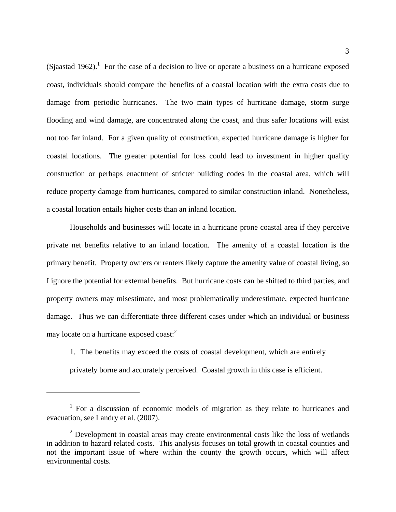(Sjaastad 1962).<sup>1</sup> For the case of a decision to live or operate a business on a hurricane exposed coast, individuals should compare the benefits of a coastal location with the extra costs due to damage from periodic hurricanes. The two main types of hurricane damage, storm surge flooding and wind damage, are concentrated along the coast, and thus safer locations will exist not too far inland. For a given quality of construction, expected hurricane damage is higher for coastal locations. The greater potential for loss could lead to investment in higher quality construction or perhaps enactment of stricter building codes in the coastal area, which will reduce property damage from hurricanes, compared to similar construction inland. Nonetheless, a coastal location entails higher costs than an inland location.

 Households and businesses will locate in a hurricane prone coastal area if they perceive private net benefits relative to an inland location. The amenity of a coastal location is the primary benefit. Property owners or renters likely capture the amenity value of coastal living, so I ignore the potential for external benefits. But hurricane costs can be shifted to third parties, and property owners may misestimate, and most problematically underestimate, expected hurricane damage. Thus we can differentiate three different cases under which an individual or business may locate on a hurricane exposed coast:<sup>2</sup>

1. The benefits may exceed the costs of coastal development, which are entirely privately borne and accurately perceived. Coastal growth in this case is efficient.

<sup>&</sup>lt;sup>1</sup> For a discussion of economic models of migration as they relate to hurricanes and evacuation, see Landry et al. (2007).

 $2$  Development in coastal areas may create environmental costs like the loss of wetlands in addition to hazard related costs. This analysis focuses on total growth in coastal counties and not the important issue of where within the county the growth occurs, which will affect environmental costs.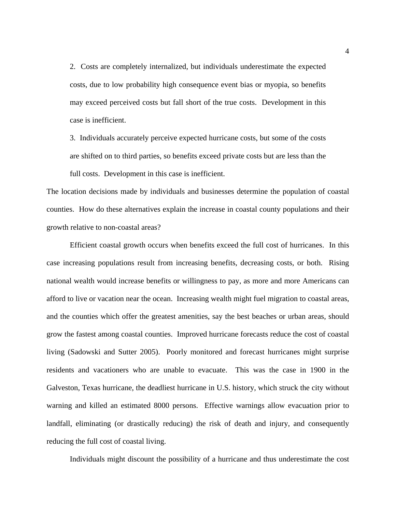2. Costs are completely internalized, but individuals underestimate the expected costs, due to low probability high consequence event bias or myopia, so benefits may exceed perceived costs but fall short of the true costs. Development in this case is inefficient.

3. Individuals accurately perceive expected hurricane costs, but some of the costs are shifted on to third parties, so benefits exceed private costs but are less than the

full costs. Development in this case is inefficient.

The location decisions made by individuals and businesses determine the population of coastal counties. How do these alternatives explain the increase in coastal county populations and their growth relative to non-coastal areas?

 Efficient coastal growth occurs when benefits exceed the full cost of hurricanes. In this case increasing populations result from increasing benefits, decreasing costs, or both. Rising national wealth would increase benefits or willingness to pay, as more and more Americans can afford to live or vacation near the ocean. Increasing wealth might fuel migration to coastal areas, and the counties which offer the greatest amenities, say the best beaches or urban areas, should grow the fastest among coastal counties. Improved hurricane forecasts reduce the cost of coastal living (Sadowski and Sutter 2005). Poorly monitored and forecast hurricanes might surprise residents and vacationers who are unable to evacuate. This was the case in 1900 in the Galveston, Texas hurricane, the deadliest hurricane in U.S. history, which struck the city without warning and killed an estimated 8000 persons. Effective warnings allow evacuation prior to landfall, eliminating (or drastically reducing) the risk of death and injury, and consequently reducing the full cost of coastal living.

Individuals might discount the possibility of a hurricane and thus underestimate the cost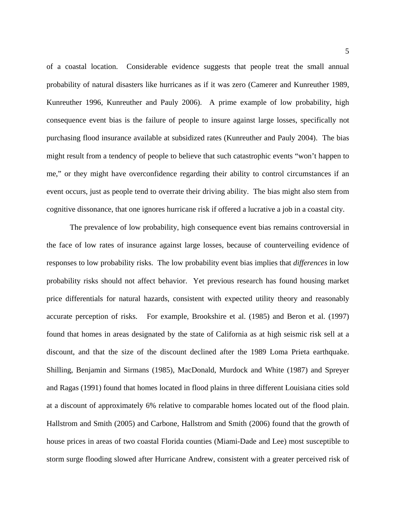of a coastal location. Considerable evidence suggests that people treat the small annual probability of natural disasters like hurricanes as if it was zero (Camerer and Kunreuther 1989, Kunreuther 1996, Kunreuther and Pauly 2006). A prime example of low probability, high consequence event bias is the failure of people to insure against large losses, specifically not purchasing flood insurance available at subsidized rates (Kunreuther and Pauly 2004). The bias might result from a tendency of people to believe that such catastrophic events "won't happen to me," or they might have overconfidence regarding their ability to control circumstances if an event occurs, just as people tend to overrate their driving ability. The bias might also stem from cognitive dissonance, that one ignores hurricane risk if offered a lucrative a job in a coastal city.

 The prevalence of low probability, high consequence event bias remains controversial in the face of low rates of insurance against large losses, because of counterveiling evidence of responses to low probability risks. The low probability event bias implies that *differences* in low probability risks should not affect behavior. Yet previous research has found housing market price differentials for natural hazards, consistent with expected utility theory and reasonably accurate perception of risks. For example, Brookshire et al. (1985) and Beron et al. (1997) found that homes in areas designated by the state of California as at high seismic risk sell at a discount, and that the size of the discount declined after the 1989 Loma Prieta earthquake. Shilling, Benjamin and Sirmans (1985), MacDonald, Murdock and White (1987) and Spreyer and Ragas (1991) found that homes located in flood plains in three different Louisiana cities sold at a discount of approximately 6% relative to comparable homes located out of the flood plain. Hallstrom and Smith (2005) and Carbone, Hallstrom and Smith (2006) found that the growth of house prices in areas of two coastal Florida counties (Miami-Dade and Lee) most susceptible to storm surge flooding slowed after Hurricane Andrew, consistent with a greater perceived risk of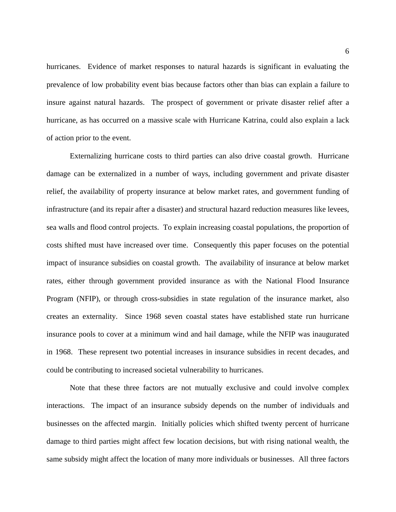hurricanes. Evidence of market responses to natural hazards is significant in evaluating the prevalence of low probability event bias because factors other than bias can explain a failure to insure against natural hazards. The prospect of government or private disaster relief after a hurricane, as has occurred on a massive scale with Hurricane Katrina, could also explain a lack of action prior to the event.

 Externalizing hurricane costs to third parties can also drive coastal growth. Hurricane damage can be externalized in a number of ways, including government and private disaster relief, the availability of property insurance at below market rates, and government funding of infrastructure (and its repair after a disaster) and structural hazard reduction measures like levees, sea walls and flood control projects. To explain increasing coastal populations, the proportion of costs shifted must have increased over time. Consequently this paper focuses on the potential impact of insurance subsidies on coastal growth. The availability of insurance at below market rates, either through government provided insurance as with the National Flood Insurance Program (NFIP), or through cross-subsidies in state regulation of the insurance market, also creates an externality. Since 1968 seven coastal states have established state run hurricane insurance pools to cover at a minimum wind and hail damage, while the NFIP was inaugurated in 1968. These represent two potential increases in insurance subsidies in recent decades, and could be contributing to increased societal vulnerability to hurricanes.

 Note that these three factors are not mutually exclusive and could involve complex interactions. The impact of an insurance subsidy depends on the number of individuals and businesses on the affected margin. Initially policies which shifted twenty percent of hurricane damage to third parties might affect few location decisions, but with rising national wealth, the same subsidy might affect the location of many more individuals or businesses. All three factors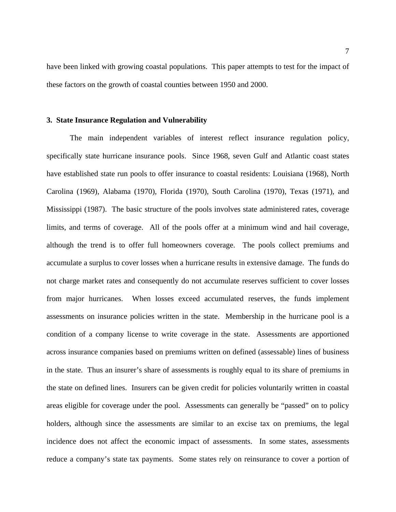have been linked with growing coastal populations. This paper attempts to test for the impact of these factors on the growth of coastal counties between 1950 and 2000.

#### **3. State Insurance Regulation and Vulnerability**

 The main independent variables of interest reflect insurance regulation policy, specifically state hurricane insurance pools. Since 1968, seven Gulf and Atlantic coast states have established state run pools to offer insurance to coastal residents: Louisiana (1968), North Carolina (1969), Alabama (1970), Florida (1970), South Carolina (1970), Texas (1971), and Mississippi (1987). The basic structure of the pools involves state administered rates, coverage limits, and terms of coverage. All of the pools offer at a minimum wind and hail coverage, although the trend is to offer full homeowners coverage. The pools collect premiums and accumulate a surplus to cover losses when a hurricane results in extensive damage. The funds do not charge market rates and consequently do not accumulate reserves sufficient to cover losses from major hurricanes. When losses exceed accumulated reserves, the funds implement assessments on insurance policies written in the state. Membership in the hurricane pool is a condition of a company license to write coverage in the state. Assessments are apportioned across insurance companies based on premiums written on defined (assessable) lines of business in the state. Thus an insurer's share of assessments is roughly equal to its share of premiums in the state on defined lines. Insurers can be given credit for policies voluntarily written in coastal areas eligible for coverage under the pool. Assessments can generally be "passed" on to policy holders, although since the assessments are similar to an excise tax on premiums, the legal incidence does not affect the economic impact of assessments. In some states, assessments reduce a company's state tax payments. Some states rely on reinsurance to cover a portion of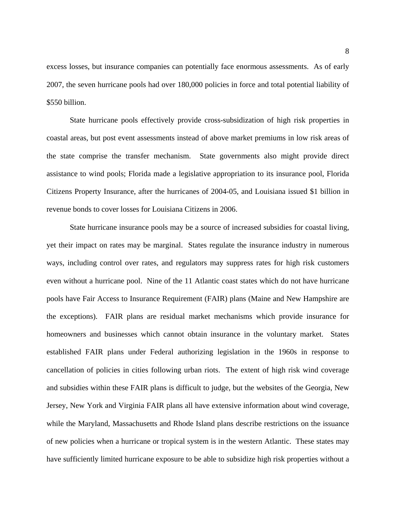excess losses, but insurance companies can potentially face enormous assessments. As of early 2007, the seven hurricane pools had over 180,000 policies in force and total potential liability of \$550 billion.

 State hurricane pools effectively provide cross-subsidization of high risk properties in coastal areas, but post event assessments instead of above market premiums in low risk areas of the state comprise the transfer mechanism. State governments also might provide direct assistance to wind pools; Florida made a legislative appropriation to its insurance pool, Florida Citizens Property Insurance, after the hurricanes of 2004-05, and Louisiana issued \$1 billion in revenue bonds to cover losses for Louisiana Citizens in 2006.

 State hurricane insurance pools may be a source of increased subsidies for coastal living, yet their impact on rates may be marginal. States regulate the insurance industry in numerous ways, including control over rates, and regulators may suppress rates for high risk customers even without a hurricane pool. Nine of the 11 Atlantic coast states which do not have hurricane pools have Fair Access to Insurance Requirement (FAIR) plans (Maine and New Hampshire are the exceptions). FAIR plans are residual market mechanisms which provide insurance for homeowners and businesses which cannot obtain insurance in the voluntary market. States established FAIR plans under Federal authorizing legislation in the 1960s in response to cancellation of policies in cities following urban riots. The extent of high risk wind coverage and subsidies within these FAIR plans is difficult to judge, but the websites of the Georgia, New Jersey, New York and Virginia FAIR plans all have extensive information about wind coverage, while the Maryland, Massachusetts and Rhode Island plans describe restrictions on the issuance of new policies when a hurricane or tropical system is in the western Atlantic. These states may have sufficiently limited hurricane exposure to be able to subsidize high risk properties without a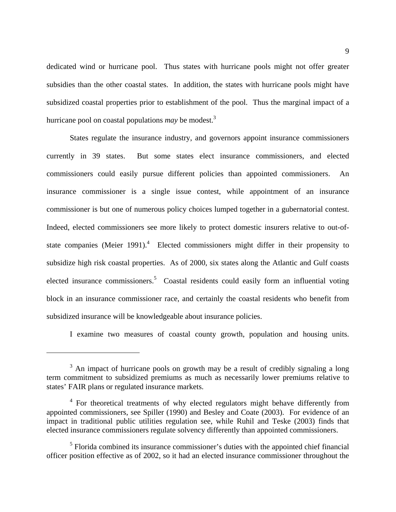dedicated wind or hurricane pool. Thus states with hurricane pools might not offer greater subsidies than the other coastal states. In addition, the states with hurricane pools might have subsidized coastal properties prior to establishment of the pool. Thus the marginal impact of a hurricane pool on coastal populations *may* be modest.3

 States regulate the insurance industry, and governors appoint insurance commissioners currently in 39 states. But some states elect insurance commissioners, and elected commissioners could easily pursue different policies than appointed commissioners. An insurance commissioner is a single issue contest, while appointment of an insurance commissioner is but one of numerous policy choices lumped together in a gubernatorial contest. Indeed, elected commissioners see more likely to protect domestic insurers relative to out-ofstate companies (Meier 1991). $4$  Elected commissioners might differ in their propensity to subsidize high risk coastal properties. As of 2000, six states along the Atlantic and Gulf coasts elected insurance commissioners.<sup>5</sup> Coastal residents could easily form an influential voting block in an insurance commissioner race, and certainly the coastal residents who benefit from subsidized insurance will be knowledgeable about insurance policies.

I examine two measures of coastal county growth, population and housing units.

 $3$  An impact of hurricane pools on growth may be a result of credibly signaling a long term commitment to subsidized premiums as much as necessarily lower premiums relative to states' FAIR plans or regulated insurance markets.

<sup>&</sup>lt;sup>4</sup> For theoretical treatments of why elected regulators might behave differently from appointed commissioners, see Spiller (1990) and Besley and Coate (2003). For evidence of an impact in traditional public utilities regulation see, while Ruhil and Teske (2003) finds that elected insurance commissioners regulate solvency differently than appointed commissioners.

<sup>&</sup>lt;sup>5</sup> Florida combined its insurance commissioner's duties with the appointed chief financial officer position effective as of 2002, so it had an elected insurance commissioner throughout the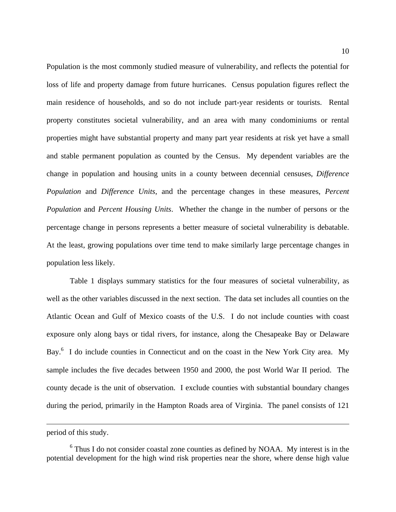Population is the most commonly studied measure of vulnerability, and reflects the potential for loss of life and property damage from future hurricanes. Census population figures reflect the main residence of households, and so do not include part-year residents or tourists. Rental property constitutes societal vulnerability, and an area with many condominiums or rental properties might have substantial property and many part year residents at risk yet have a small and stable permanent population as counted by the Census. My dependent variables are the change in population and housing units in a county between decennial censuses, *Difference Population* and *Difference Units*, and the percentage changes in these measures, *Percent Population* and *Percent Housing Units*. Whether the change in the number of persons or the percentage change in persons represents a better measure of societal vulnerability is debatable. At the least, growing populations over time tend to make similarly large percentage changes in population less likely.

 Table 1 displays summary statistics for the four measures of societal vulnerability, as well as the other variables discussed in the next section. The data set includes all counties on the Atlantic Ocean and Gulf of Mexico coasts of the U.S. I do not include counties with coast exposure only along bays or tidal rivers, for instance, along the Chesapeake Bay or Delaware Bay.<sup>6</sup> I do include counties in Connecticut and on the coast in the New York City area. My sample includes the five decades between 1950 and 2000, the post World War II period. The county decade is the unit of observation. I exclude counties with substantial boundary changes during the period, primarily in the Hampton Roads area of Virginia. The panel consists of 121

period of this study.

<sup>&</sup>lt;sup>6</sup> Thus I do not consider coastal zone counties as defined by NOAA. My interest is in the potential development for the high wind risk properties near the shore, where dense high value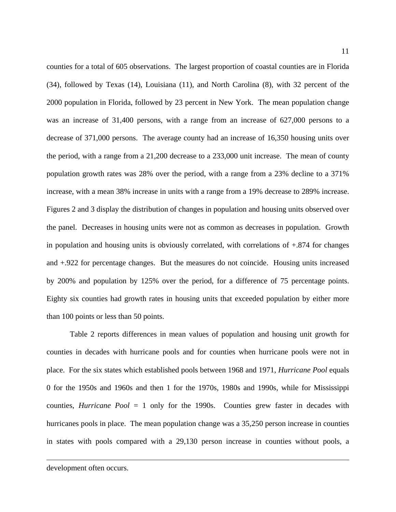counties for a total of 605 observations. The largest proportion of coastal counties are in Florida (34), followed by Texas (14), Louisiana (11), and North Carolina (8), with 32 percent of the 2000 population in Florida, followed by 23 percent in New York. The mean population change was an increase of 31,400 persons, with a range from an increase of 627,000 persons to a decrease of 371,000 persons. The average county had an increase of 16,350 housing units over the period, with a range from a 21,200 decrease to a 233,000 unit increase. The mean of county population growth rates was 28% over the period, with a range from a 23% decline to a 371% increase, with a mean 38% increase in units with a range from a 19% decrease to 289% increase. Figures 2 and 3 display the distribution of changes in population and housing units observed over the panel. Decreases in housing units were not as common as decreases in population. Growth in population and housing units is obviously correlated, with correlations of  $+.874$  for changes and +.922 for percentage changes. But the measures do not coincide. Housing units increased by 200% and population by 125% over the period, for a difference of 75 percentage points. Eighty six counties had growth rates in housing units that exceeded population by either more than 100 points or less than 50 points.

 Table 2 reports differences in mean values of population and housing unit growth for counties in decades with hurricane pools and for counties when hurricane pools were not in place. For the six states which established pools between 1968 and 1971, *Hurricane Pool* equals 0 for the 1950s and 1960s and then 1 for the 1970s, 1980s and 1990s, while for Mississippi counties, *Hurricane Pool* = 1 only for the 1990s. Counties grew faster in decades with hurricanes pools in place. The mean population change was a 35,250 person increase in counties in states with pools compared with a 29,130 person increase in counties without pools, a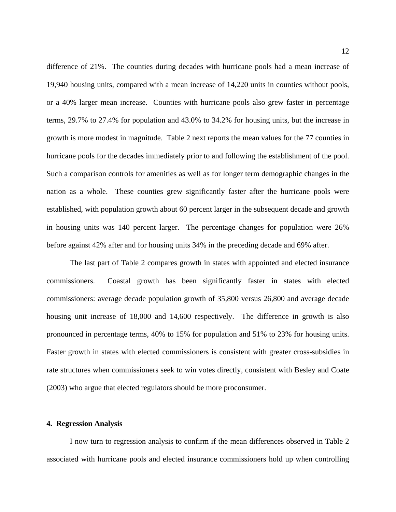difference of 21%. The counties during decades with hurricane pools had a mean increase of 19,940 housing units, compared with a mean increase of 14,220 units in counties without pools, or a 40% larger mean increase. Counties with hurricane pools also grew faster in percentage terms, 29.7% to 27.4% for population and 43.0% to 34.2% for housing units, but the increase in growth is more modest in magnitude. Table 2 next reports the mean values for the 77 counties in hurricane pools for the decades immediately prior to and following the establishment of the pool. Such a comparison controls for amenities as well as for longer term demographic changes in the nation as a whole. These counties grew significantly faster after the hurricane pools were established, with population growth about 60 percent larger in the subsequent decade and growth in housing units was 140 percent larger. The percentage changes for population were 26% before against 42% after and for housing units 34% in the preceding decade and 69% after.

 The last part of Table 2 compares growth in states with appointed and elected insurance commissioners. Coastal growth has been significantly faster in states with elected commissioners: average decade population growth of 35,800 versus 26,800 and average decade housing unit increase of 18,000 and 14,600 respectively. The difference in growth is also pronounced in percentage terms, 40% to 15% for population and 51% to 23% for housing units. Faster growth in states with elected commissioners is consistent with greater cross-subsidies in rate structures when commissioners seek to win votes directly, consistent with Besley and Coate (2003) who argue that elected regulators should be more proconsumer.

#### **4. Regression Analysis**

 I now turn to regression analysis to confirm if the mean differences observed in Table 2 associated with hurricane pools and elected insurance commissioners hold up when controlling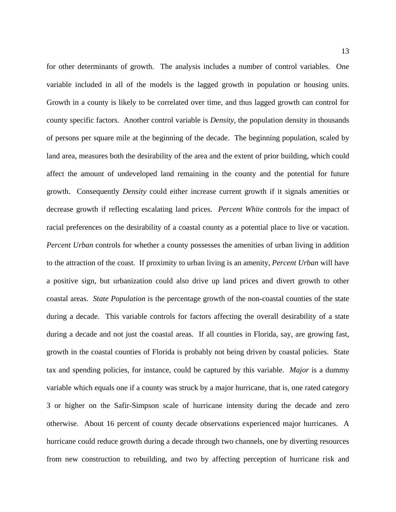for other determinants of growth. The analysis includes a number of control variables. One variable included in all of the models is the lagged growth in population or housing units. Growth in a county is likely to be correlated over time, and thus lagged growth can control for county specific factors. Another control variable is *Density*, the population density in thousands of persons per square mile at the beginning of the decade. The beginning population, scaled by land area, measures both the desirability of the area and the extent of prior building, which could affect the amount of undeveloped land remaining in the county and the potential for future growth. Consequently *Density* could either increase current growth if it signals amenities or decrease growth if reflecting escalating land prices. *Percent White* controls for the impact of racial preferences on the desirability of a coastal county as a potential place to live or vacation. *Percent Urban* controls for whether a county possesses the amenities of urban living in addition to the attraction of the coast. If proximity to urban living is an amenity, *Percent Urban* will have a positive sign, but urbanization could also drive up land prices and divert growth to other coastal areas. *State Population* is the percentage growth of the non-coastal counties of the state during a decade. This variable controls for factors affecting the overall desirability of a state during a decade and not just the coastal areas. If all counties in Florida, say, are growing fast, growth in the coastal counties of Florida is probably not being driven by coastal policies. State tax and spending policies, for instance, could be captured by this variable. *Major* is a dummy variable which equals one if a county was struck by a major hurricane, that is, one rated category 3 or higher on the Safir-Simpson scale of hurricane intensity during the decade and zero otherwise. About 16 percent of county decade observations experienced major hurricanes. A hurricane could reduce growth during a decade through two channels, one by diverting resources from new construction to rebuilding, and two by affecting perception of hurricane risk and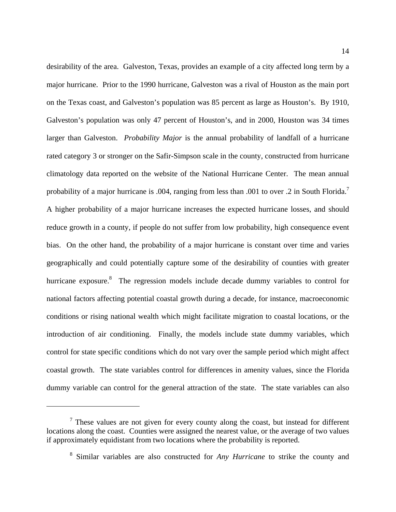desirability of the area. Galveston, Texas, provides an example of a city affected long term by a major hurricane. Prior to the 1990 hurricane, Galveston was a rival of Houston as the main port on the Texas coast, and Galveston's population was 85 percent as large as Houston's. By 1910, Galveston's population was only 47 percent of Houston's, and in 2000, Houston was 34 times larger than Galveston. *Probability Major* is the annual probability of landfall of a hurricane rated category 3 or stronger on the Safir-Simpson scale in the county, constructed from hurricane climatology data reported on the website of the National Hurricane Center. The mean annual probability of a major hurricane is .004, ranging from less than .001 to over .2 in South Florida.<sup>7</sup> A higher probability of a major hurricane increases the expected hurricane losses, and should reduce growth in a county, if people do not suffer from low probability, high consequence event bias. On the other hand, the probability of a major hurricane is constant over time and varies geographically and could potentially capture some of the desirability of counties with greater hurricane exposure.<sup>8</sup> The regression models include decade dummy variables to control for national factors affecting potential coastal growth during a decade, for instance, macroeconomic conditions or rising national wealth which might facilitate migration to coastal locations, or the introduction of air conditioning. Finally, the models include state dummy variables, which control for state specific conditions which do not vary over the sample period which might affect coastal growth. The state variables control for differences in amenity values, since the Florida dummy variable can control for the general attraction of the state. The state variables can also

 $7$  These values are not given for every county along the coast, but instead for different locations along the coast. Counties were assigned the nearest value, or the average of two values if approximately equidistant from two locations where the probability is reported.

<sup>8</sup> Similar variables are also constructed for *Any Hurricane* to strike the county and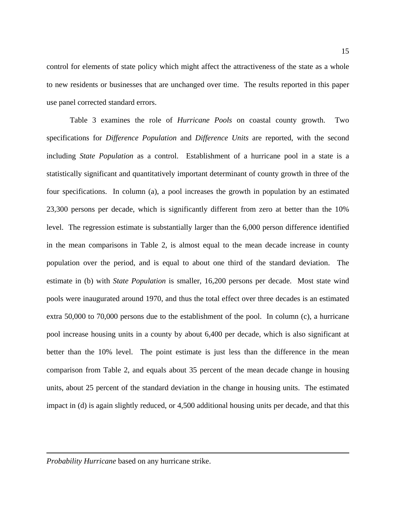control for elements of state policy which might affect the attractiveness of the state as a whole to new residents or businesses that are unchanged over time. The results reported in this paper use panel corrected standard errors.

 Table 3 examines the role of *Hurricane Pools* on coastal county growth. Two specifications for *Difference Population* and *Difference Units* are reported, with the second including *State Population* as a control. Establishment of a hurricane pool in a state is a statistically significant and quantitatively important determinant of county growth in three of the four specifications. In column (a), a pool increases the growth in population by an estimated 23,300 persons per decade, which is significantly different from zero at better than the 10% level. The regression estimate is substantially larger than the 6,000 person difference identified in the mean comparisons in Table 2, is almost equal to the mean decade increase in county population over the period, and is equal to about one third of the standard deviation. The estimate in (b) with *State Population* is smaller, 16,200 persons per decade. Most state wind pools were inaugurated around 1970, and thus the total effect over three decades is an estimated extra 50,000 to 70,000 persons due to the establishment of the pool. In column (c), a hurricane pool increase housing units in a county by about 6,400 per decade, which is also significant at better than the 10% level. The point estimate is just less than the difference in the mean comparison from Table 2, and equals about 35 percent of the mean decade change in housing units, about 25 percent of the standard deviation in the change in housing units. The estimated impact in (d) is again slightly reduced, or 4,500 additional housing units per decade, and that this

*Probability Hurricane* based on any hurricane strike.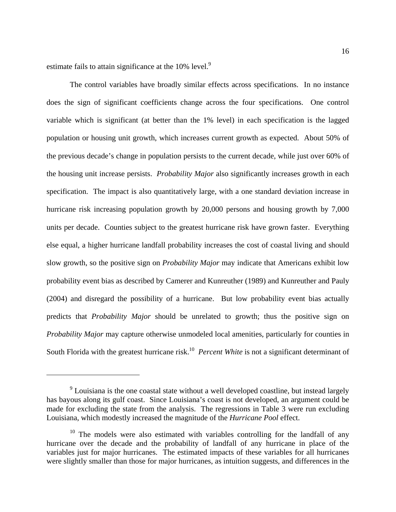estimate fails to attain significance at the 10% level.<sup>9</sup>

 $\overline{a}$ 

 The control variables have broadly similar effects across specifications. In no instance does the sign of significant coefficients change across the four specifications. One control variable which is significant (at better than the 1% level) in each specification is the lagged population or housing unit growth, which increases current growth as expected. About 50% of the previous decade's change in population persists to the current decade, while just over 60% of the housing unit increase persists. *Probability Major* also significantly increases growth in each specification. The impact is also quantitatively large, with a one standard deviation increase in hurricane risk increasing population growth by 20,000 persons and housing growth by 7,000 units per decade. Counties subject to the greatest hurricane risk have grown faster. Everything else equal, a higher hurricane landfall probability increases the cost of coastal living and should slow growth, so the positive sign on *Probability Major* may indicate that Americans exhibit low probability event bias as described by Camerer and Kunreuther (1989) and Kunreuther and Pauly (2004) and disregard the possibility of a hurricane. But low probability event bias actually predicts that *Probability Major* should be unrelated to growth; thus the positive sign on *Probability Major* may capture otherwise unmodeled local amenities, particularly for counties in South Florida with the greatest hurricane risk.<sup>10</sup> *Percent White* is not a significant determinant of

 $9$  Louisiana is the one coastal state without a well developed coastline, but instead largely has bayous along its gulf coast. Since Louisiana's coast is not developed, an argument could be made for excluding the state from the analysis. The regressions in Table 3 were run excluding Louisiana, which modestly increased the magnitude of the *Hurricane Pool* effect.

 $10$  The models were also estimated with variables controlling for the landfall of any hurricane over the decade and the probability of landfall of any hurricane in place of the variables just for major hurricanes. The estimated impacts of these variables for all hurricanes were slightly smaller than those for major hurricanes, as intuition suggests, and differences in the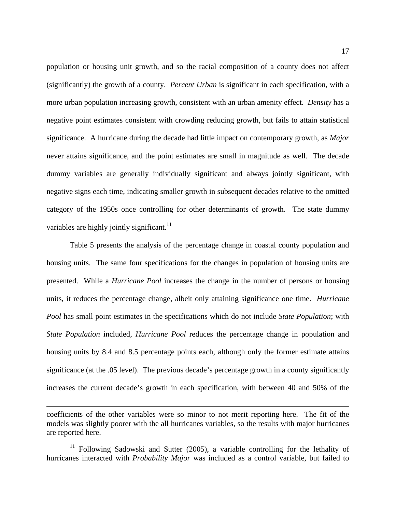population or housing unit growth, and so the racial composition of a county does not affect (significantly) the growth of a county. *Percent Urban* is significant in each specification, with a more urban population increasing growth, consistent with an urban amenity effect. *Density* has a negative point estimates consistent with crowding reducing growth, but fails to attain statistical significance. A hurricane during the decade had little impact on contemporary growth, as *Major* never attains significance, and the point estimates are small in magnitude as well. The decade dummy variables are generally individually significant and always jointly significant, with negative signs each time, indicating smaller growth in subsequent decades relative to the omitted category of the 1950s once controlling for other determinants of growth. The state dummy variables are highly jointly significant.<sup>11</sup>

 Table 5 presents the analysis of the percentage change in coastal county population and housing units. The same four specifications for the changes in population of housing units are presented. While a *Hurricane Pool* increases the change in the number of persons or housing units, it reduces the percentage change, albeit only attaining significance one time. *Hurricane Pool* has small point estimates in the specifications which do not include *State Population*; with *State Population* included, *Hurricane Pool* reduces the percentage change in population and housing units by 8.4 and 8.5 percentage points each, although only the former estimate attains significance (at the .05 level). The previous decade's percentage growth in a county significantly increases the current decade's growth in each specification, with between 40 and 50% of the

coefficients of the other variables were so minor to not merit reporting here. The fit of the models was slightly poorer with the all hurricanes variables, so the results with major hurricanes are reported here.

<sup>&</sup>lt;sup>11</sup> Following Sadowski and Sutter (2005), a variable controlling for the lethality of hurricanes interacted with *Probability Major* was included as a control variable, but failed to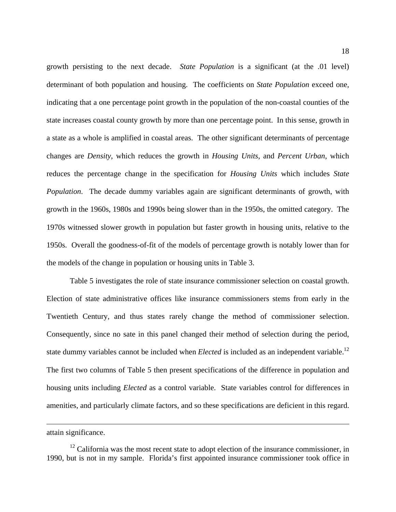growth persisting to the next decade. *State Population* is a significant (at the .01 level) determinant of both population and housing. The coefficients on *State Population* exceed one, indicating that a one percentage point growth in the population of the non-coastal counties of the state increases coastal county growth by more than one percentage point. In this sense, growth in a state as a whole is amplified in coastal areas. The other significant determinants of percentage changes are *Density*, which reduces the growth in *Housing Units*, and *Percent Urban*, which reduces the percentage change in the specification for *Housing Units* which includes *State Population*. The decade dummy variables again are significant determinants of growth, with growth in the 1960s, 1980s and 1990s being slower than in the 1950s, the omitted category. The 1970s witnessed slower growth in population but faster growth in housing units, relative to the 1950s. Overall the goodness-of-fit of the models of percentage growth is notably lower than for the models of the change in population or housing units in Table 3.

 Table 5 investigates the role of state insurance commissioner selection on coastal growth. Election of state administrative offices like insurance commissioners stems from early in the Twentieth Century, and thus states rarely change the method of commissioner selection. Consequently, since no sate in this panel changed their method of selection during the period, state dummy variables cannot be included when *Elected* is included as an independent variable.<sup>12</sup> The first two columns of Table 5 then present specifications of the difference in population and housing units including *Elected* as a control variable. State variables control for differences in amenities, and particularly climate factors, and so these specifications are deficient in this regard.

attain significance.

1

 $12$  California was the most recent state to adopt election of the insurance commissioner, in 1990, but is not in my sample. Florida's first appointed insurance commissioner took office in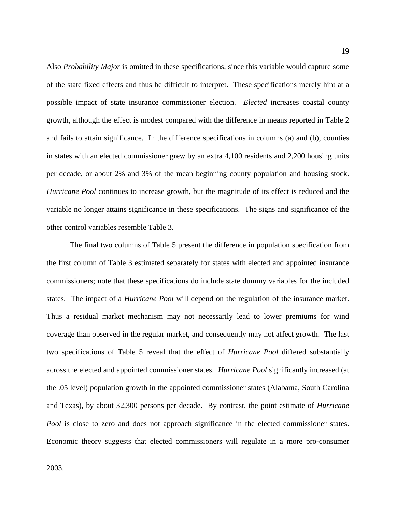Also *Probability Major* is omitted in these specifications, since this variable would capture some of the state fixed effects and thus be difficult to interpret. These specifications merely hint at a possible impact of state insurance commissioner election. *Elected* increases coastal county growth, although the effect is modest compared with the difference in means reported in Table 2 and fails to attain significance. In the difference specifications in columns (a) and (b), counties in states with an elected commissioner grew by an extra 4,100 residents and 2,200 housing units per decade, or about 2% and 3% of the mean beginning county population and housing stock. *Hurricane Pool* continues to increase growth, but the magnitude of its effect is reduced and the variable no longer attains significance in these specifications. The signs and significance of the other control variables resemble Table 3.

 The final two columns of Table 5 present the difference in population specification from the first column of Table 3 estimated separately for states with elected and appointed insurance commissioners; note that these specifications do include state dummy variables for the included states. The impact of a *Hurricane Pool* will depend on the regulation of the insurance market. Thus a residual market mechanism may not necessarily lead to lower premiums for wind coverage than observed in the regular market, and consequently may not affect growth. The last two specifications of Table 5 reveal that the effect of *Hurricane Pool* differed substantially across the elected and appointed commissioner states. *Hurricane Pool* significantly increased (at the .05 level) population growth in the appointed commissioner states (Alabama, South Carolina and Texas), by about 32,300 persons per decade. By contrast, the point estimate of *Hurricane Pool* is close to zero and does not approach significance in the elected commissioner states. Economic theory suggests that elected commissioners will regulate in a more pro-consumer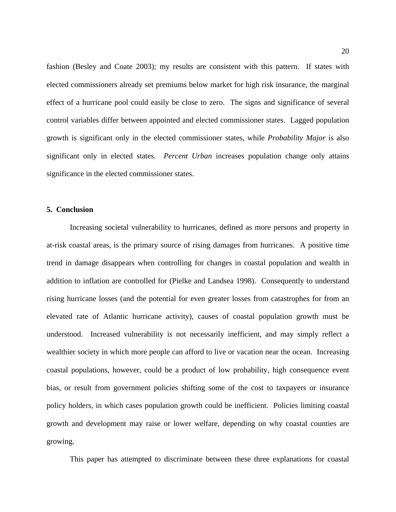fashion (Besley and Coate 2003); my results are consistent with this pattern. If states with elected commissioners already set premiums below market for high risk insurance, the marginal effect of a hurricane pool could easily be close to zero. The signs and significance of several control variables differ between appointed and elected commissioner states. Lagged population growth is significant only in the elected commissioner states, while *Probability Major* is also significant only in elected states. *Percent Urban* increases population change only attains significance in the elected commissioner states.

#### **5. Conclusion**

 Increasing societal vulnerability to hurricanes, defined as more persons and property in at-risk coastal areas, is the primary source of rising damages from hurricanes. A positive time trend in damage disappears when controlling for changes in coastal population and wealth in addition to inflation are controlled for (Pielke and Landsea 1998). Consequently to understand rising hurricane losses (and the potential for even greater losses from catastrophes for from an elevated rate of Atlantic hurricane activity), causes of coastal population growth must be understood. Increased vulnerability is not necessarily inefficient, and may simply reflect a wealthier society in which more people can afford to live or vacation near the ocean. Increasing coastal populations, however, could be a product of low probability, high consequence event bias, or result from government policies shifting some of the cost to taxpayers or insurance policy holders, in which cases population growth could be inefficient. Policies limiting coastal growth and development may raise or lower welfare, depending on why coastal counties are growing.

This paper has attempted to discriminate between these three explanations for coastal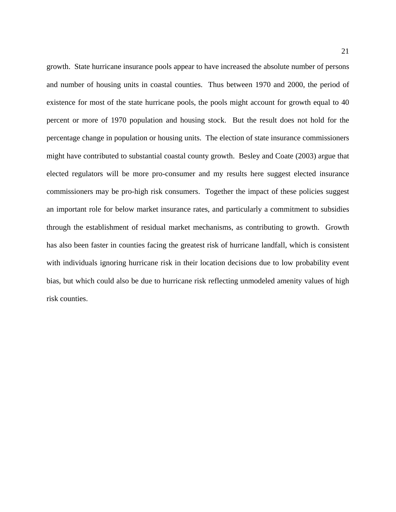growth. State hurricane insurance pools appear to have increased the absolute number of persons and number of housing units in coastal counties. Thus between 1970 and 2000, the period of existence for most of the state hurricane pools, the pools might account for growth equal to 40 percent or more of 1970 population and housing stock. But the result does not hold for the percentage change in population or housing units. The election of state insurance commissioners might have contributed to substantial coastal county growth. Besley and Coate (2003) argue that elected regulators will be more pro-consumer and my results here suggest elected insurance commissioners may be pro-high risk consumers. Together the impact of these policies suggest an important role for below market insurance rates, and particularly a commitment to subsidies through the establishment of residual market mechanisms, as contributing to growth. Growth has also been faster in counties facing the greatest risk of hurricane landfall, which is consistent with individuals ignoring hurricane risk in their location decisions due to low probability event bias, but which could also be due to hurricane risk reflecting unmodeled amenity values of high risk counties.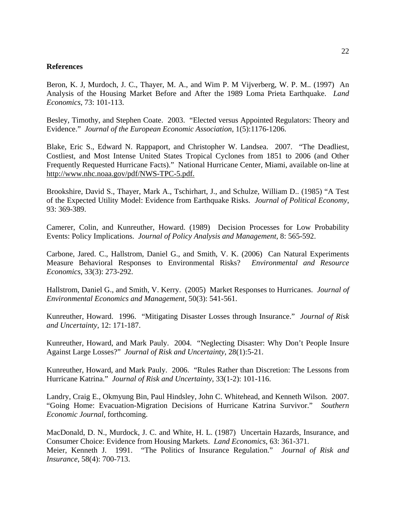#### **References**

Beron, K. J, Murdoch, J. C., Thayer, M. A., and Wim P. M Vijverberg, W. P. M.. (1997) An Analysis of the Housing Market Before and After the 1989 Loma Prieta Earthquake. *Land Economics*, 73: 101-113.

Besley, Timothy, and Stephen Coate. 2003. "Elected versus Appointed Regulators: Theory and Evidence." *Journal of the European Economic Association*, 1(5):1176-1206.

Blake, Eric S., Edward N. Rappaport, and Christopher W. Landsea. 2007. "The Deadliest, Costliest, and Most Intense United States Tropical Cyclones from 1851 to 2006 (and Other Frequently Requested Hurricane Facts)." National Hurricane Center, Miami, available on-line at http://www.nhc.noaa.gov/pdf/NWS-TPC-5.pdf.

Brookshire, David S., Thayer, Mark A., Tschirhart, J., and Schulze, William D.. (1985) "A Test of the Expected Utility Model: Evidence from Earthquake Risks. *Journal of Political Economy*, 93: 369-389.

Camerer, Colin, and Kunreuther, Howard. (1989) Decision Processes for Low Probability Events: Policy Implications. *Journal of Policy Analysis and Management*, 8: 565-592.

Carbone, Jared. C., Hallstrom, Daniel G., and Smith, V. K. (2006) Can Natural Experiments Measure Behavioral Responses to Environmental Risks? *Environmental and Resource Economics*, 33(3): 273-292.

Hallstrom, Daniel G., and Smith, V. Kerry. (2005) Market Responses to Hurricanes. *Journal of Environmental Economics and Management*, 50(3): 541-561.

Kunreuther, Howard. 1996. "Mitigating Disaster Losses through Insurance." *Journal of Risk and Uncertainty*, 12: 171-187.

Kunreuther, Howard, and Mark Pauly. 2004. "Neglecting Disaster: Why Don't People Insure Against Large Losses?" *Journal of Risk and Uncertainty*, 28(1):5-21.

Kunreuther, Howard, and Mark Pauly. 2006. "Rules Rather than Discretion: The Lessons from Hurricane Katrina." *Journal of Risk and Uncertainty*, 33(1-2): 101-116.

Landry, Craig E., Okmyung Bin, Paul Hindsley, John C. Whitehead, and Kenneth Wilson. 2007. "Going Home: Evacuation-Migration Decisions of Hurricane Katrina Survivor." *Southern Economic Journal*, forthcoming.

MacDonald, D. N., Murdock, J. C. and White, H. L. (1987) Uncertain Hazards, Insurance, and Consumer Choice: Evidence from Housing Markets. *Land Economics*, 63: 361-371. Meier, Kenneth J. 1991. "The Politics of Insurance Regulation." *Journal of Risk and Insurance*, 58(4): 700-713.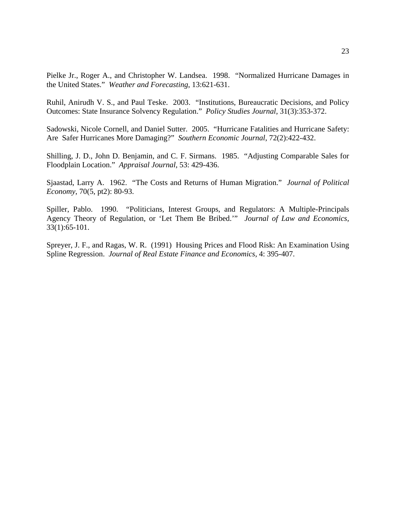Pielke Jr., Roger A., and Christopher W. Landsea. 1998. "Normalized Hurricane Damages in the United States." *Weather and Forecasting*, 13:621-631.

Ruhil, Anirudh V. S., and Paul Teske. 2003. "Institutions, Bureaucratic Decisions, and Policy Outcomes: State Insurance Solvency Regulation." *Policy Studies Journal*, 31(3):353-372.

Sadowski, Nicole Cornell, and Daniel Sutter. 2005. "Hurricane Fatalities and Hurricane Safety: Are Safer Hurricanes More Damaging?" *Southern Economic Journal*, 72(2):422-432.

Shilling, J. D., John D. Benjamin, and C. F. Sirmans. 1985. "Adjusting Comparable Sales for Floodplain Location." *Appraisal Journal*, 53: 429-436.

Sjaastad, Larry A. 1962. "The Costs and Returns of Human Migration." *Journal of Political Economy*, 70(5, pt2): 80-93.

Spiller, Pablo. 1990. "Politicians, Interest Groups, and Regulators: A Multiple-Principals Agency Theory of Regulation, or 'Let Them Be Bribed.'" *Journal of Law and Economics,* 33(1):65-101.

Spreyer, J. F., and Ragas, W. R. (1991) Housing Prices and Flood Risk: An Examination Using Spline Regression. *Journal of Real Estate Finance and Economics*, 4: 395-407.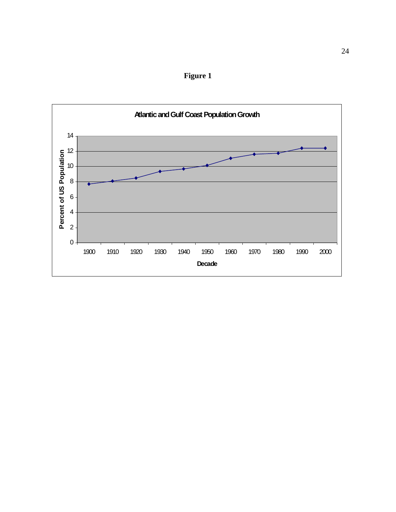

**Figure 1**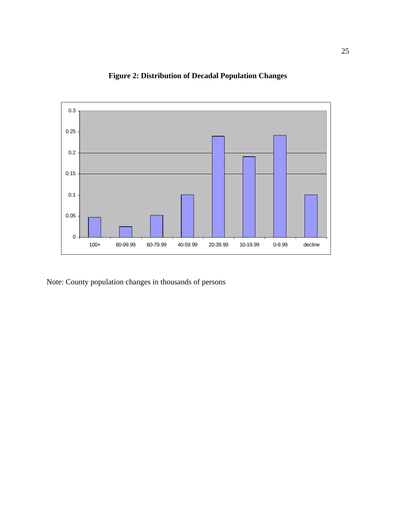

**Figure 2: Distribution of Decadal Population Changes**

Note: County population changes in thousands of persons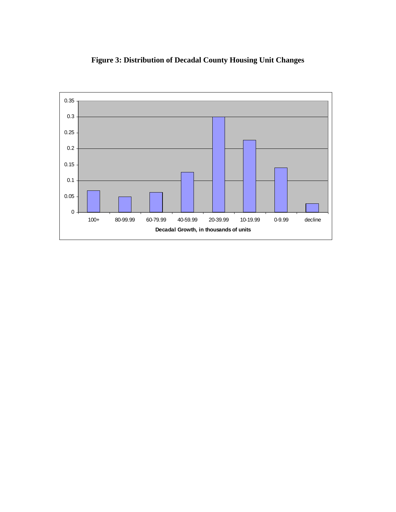

**Figure 3: Distribution of Decadal County Housing Unit Changes**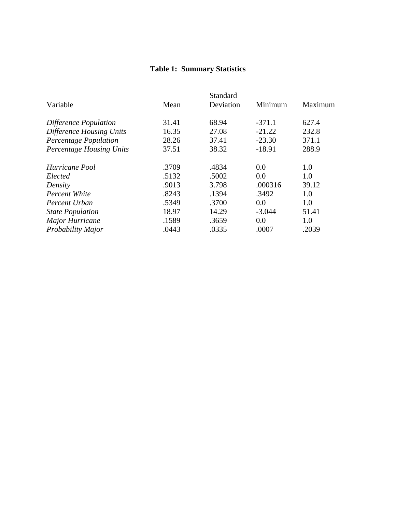# **Table 1: Summary Statistics**

|                                 |       | Standard  |          |         |
|---------------------------------|-------|-----------|----------|---------|
| Variable                        | Mean  | Deviation | Minimum  | Maximum |
| Difference Population           | 31.41 | 68.94     | $-371.1$ | 627.4   |
| Difference Housing Units        | 16.35 | 27.08     | $-21.22$ | 232.8   |
| Percentage Population           | 28.26 | 37.41     | $-23.30$ | 371.1   |
| <b>Percentage Housing Units</b> | 37.51 | 38.32     | $-18.91$ | 288.9   |
| Hurricane Pool                  | .3709 | .4834     | 0.0      | 1.0     |
| Elected                         | .5132 | .5002     | 0.0      | 1.0     |
| Density                         | .9013 | 3.798     | .000316  | 39.12   |
| <b>Percent White</b>            | .8243 | .1394     | .3492    | 1.0     |
| Percent Urban                   | .5349 | .3700     | 0.0      | 1.0     |
| <b>State Population</b>         | 18.97 | 14.29     | $-3.044$ | 51.41   |
| Major Hurricane                 | .1589 | .3659     | 0.0      | 1.0     |
| Probability Major               | .0443 | .0335     | .0007    | .2039   |
|                                 |       |           |          |         |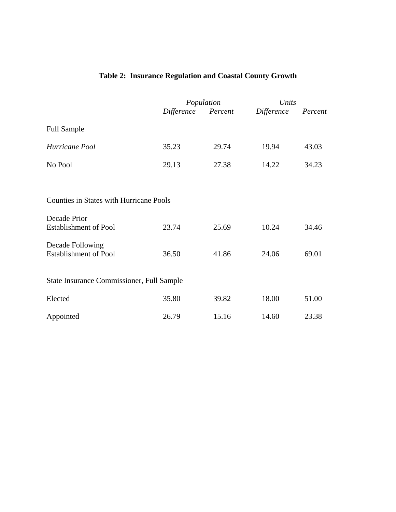# **Table 2: Insurance Regulation and Coastal County Growth**

|                                                  |                    | Population |            | Units   |  |
|--------------------------------------------------|--------------------|------------|------------|---------|--|
|                                                  | Difference Percent |            | Difference | Percent |  |
| <b>Full Sample</b>                               |                    |            |            |         |  |
| Hurricane Pool                                   | 35.23              | 29.74      | 19.94      | 43.03   |  |
| No Pool                                          | 29.13              | 27.38      | 14.22      | 34.23   |  |
|                                                  |                    |            |            |         |  |
| <b>Counties in States with Hurricane Pools</b>   |                    |            |            |         |  |
| Decade Prior<br><b>Establishment of Pool</b>     | 23.74              | 25.69      | 10.24      | 34.46   |  |
| Decade Following<br><b>Establishment of Pool</b> | 36.50              | 41.86      | 24.06      | 69.01   |  |
| <b>State Insurance Commissioner, Full Sample</b> |                    |            |            |         |  |
| Elected                                          | 35.80              | 39.82      | 18.00      | 51.00   |  |
| Appointed                                        | 26.79              | 15.16      | 14.60      | 23.38   |  |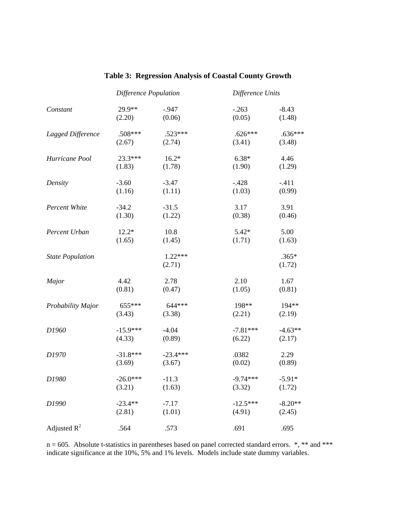|                         | Difference Population |                     | Difference Units |                   |
|-------------------------|-----------------------|---------------------|------------------|-------------------|
| Constant                | 29.9**                | $-0.947$            | $-.263$          | $-8.43$           |
|                         | (2.20)                | (0.06)              | (0.05)           | (1.48)            |
| Lagged Difference       | $.508***$             | $.523***$           | $.626***$        | $.636***$         |
|                         | (2.67)                | (2.74)              | (3.41)           | (3.48)            |
| Hurricane Pool          | 23.3***               | $16.2*$             | $6.38*$          | 4.46              |
|                         | (1.83)                | (1.78)              | (1.90)           | (1.29)            |
| Density                 | $-3.60$               | $-3.47$             | $-.428$          | $-.411$           |
|                         | (1.16)                | (1.11)              | (1.03)           | (0.99)            |
| Percent White           | $-34.2$               | $-31.5$             | 3.17             | 3.91              |
|                         | (1.30)                | (1.22)              | (0.38)           | (0.46)            |
| Percent Urban           | $12.2*$               | 10.8                | $5.42*$          | 5.00              |
|                         | (1.65)                | (1.45)              | (1.71)           | (1.63)            |
| <b>State Population</b> |                       | $1.22***$<br>(2.71) |                  | $.365*$<br>(1.72) |
| Major                   | 4.42                  | 2.78                | 2.10             | 1.67              |
|                         | (0.81)                | (0.47)              | (1.05)           | (0.81)            |
| Probability Major       | 655***                | 644***              | 198**            | 194**             |
|                         | (3.43)                | (3.38)              | (2.21)           | (2.19)            |
| D1960                   | $-15.9***$            | $-4.04$             | $-7.81***$       | $-4.63**$         |
|                         | (4.33)                | (0.89)              | (6.22)           | (2.17)            |
| D1970                   | $-31.8***$            | $-23.4***$          | .0382            | 2.29              |
|                         | (3.69)                | (3.67)              | (0.02)           | (0.89)            |
| D1980                   | $-26.0***$            | $-11.3$             | $-9.74***$       | $-5.91*$          |
|                         | (3.21)                | (1.63)              | (3.32)           | (1.72)            |
| D1990                   | $-23.4**$             | $-7.17$             | $-12.5***$       | $-8.20**$         |
|                         | (2.81)                | (1.01)              | (4.91)           | (2.45)            |
| Adjusted $R^2$          | .564                  | .573                | .691             | .695              |

## **Table 3: Regression Analysis of Coastal County Growth**

 $n = 605$ . Absolute t-statistics in parentheses based on panel corrected standard errors.  $*,$  \*\* and \*\*\* indicate significance at the 10%, 5% and 1% levels. Models include state dummy variables.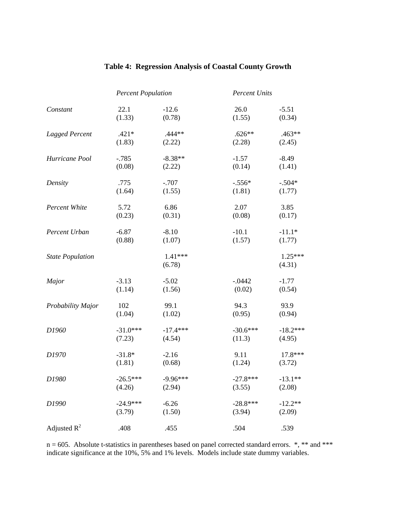|                         | <b>Percent Population</b> |                   | <b>Percent Units</b> |                     |
|-------------------------|---------------------------|-------------------|----------------------|---------------------|
| Constant                | 22.1                      | $-12.6$           | 26.0                 | $-5.51$             |
|                         | (1.33)                    | (0.78)            | (1.55)               | (0.34)              |
| <b>Lagged Percent</b>   | $.421*$                   | $.444**$          | $.626**$             | $.463**$            |
|                         | (1.83)                    | (2.22)            | (2.28)               | (2.45)              |
| Hurricane Pool          | $-.785$                   | $-8.38**$         | $-1.57$              | $-8.49$             |
|                         | (0.08)                    | (2.22)            | (0.14)               | (1.41)              |
| Density                 | .775                      | $-.707$           | $-.556*$             | $-.504*$            |
|                         | (1.64)                    | (1.55)            | (1.81)               | (1.77)              |
| Percent White           | 5.72                      | 6.86              | 2.07                 | 3.85                |
|                         | (0.23)                    | (0.31)            | (0.08)               | (0.17)              |
| Percent Urban           | $-6.87$                   | $-8.10$           | $-10.1$              | $-11.1*$            |
|                         | (0.88)                    | (1.07)            | (1.57)               | (1.77)              |
| <b>State Population</b> |                           | 1.41***<br>(6.78) |                      | $1.25***$<br>(4.31) |
| Major                   | $-3.13$                   | $-5.02$           | $-.0442$             | $-1.77$             |
|                         | (1.14)                    | (1.56)            | (0.02)               | (0.54)              |
| Probability Major       | 102                       | 99.1              | 94.3                 | 93.9                |
|                         | (1.04)                    | (1.02)            | (0.95)               | (0.94)              |
| D1960                   | $-31.0***$                | $-17.4***$        | $-30.6***$           | $-18.2***$          |
|                         | (7.23)                    | (4.54)            | (11.3)               | (4.95)              |
| D1970                   | $-31.8*$                  | $-2.16$           | 9.11                 | 17.8***             |
|                         | (1.81)                    | (0.68)            | (1.24)               | (3.72)              |
| D1980                   | $-26.5***$                | $-9.96***$        | $-27.8***$           | $-13.1**$           |
|                         | (4.26)                    | (2.94)            | (3.55)               | (2.08)              |
| D1990                   | $-24.9***$                | $-6.26$           | $-28.8***$           | $-12.2**$           |
|                         | (3.79)                    | (1.50)            | (3.94)               | (2.09)              |
| Adjusted $R^2$          | .408                      | .455              | .504                 | .539                |

### **Table 4: Regression Analysis of Coastal County Growth**

 $n = 605$ . Absolute t-statistics in parentheses based on panel corrected standard errors.  $*,$  \*\* and \*\*\* indicate significance at the 10%, 5% and 1% levels. Models include state dummy variables.